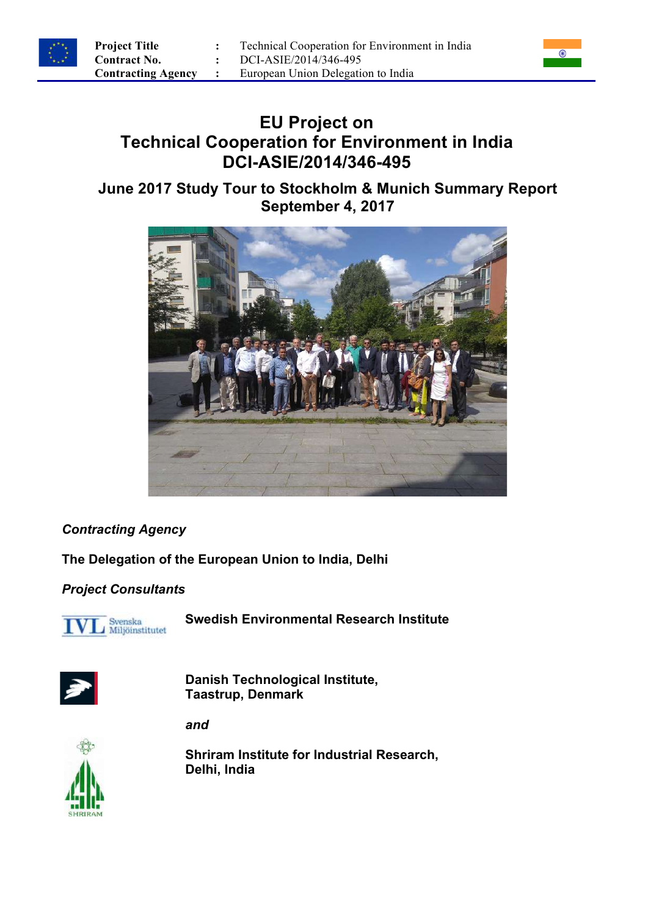



# **EU Project on Technical Cooperation for Environment in India DCI-ASIE/2014/346-495**

**June 2017 Study Tour to Stockholm & Munich Summary Report September 4, 2017**



*Contracting Agency*

**The Delegation of the European Union to India, Delhi**

### *Project Consultants*



**Swedish Environmental Research Institute**



**Danish Technological Institute, Taastrup, Denmark**

*and*



**Shriram Institute for Industrial Research, Delhi, India**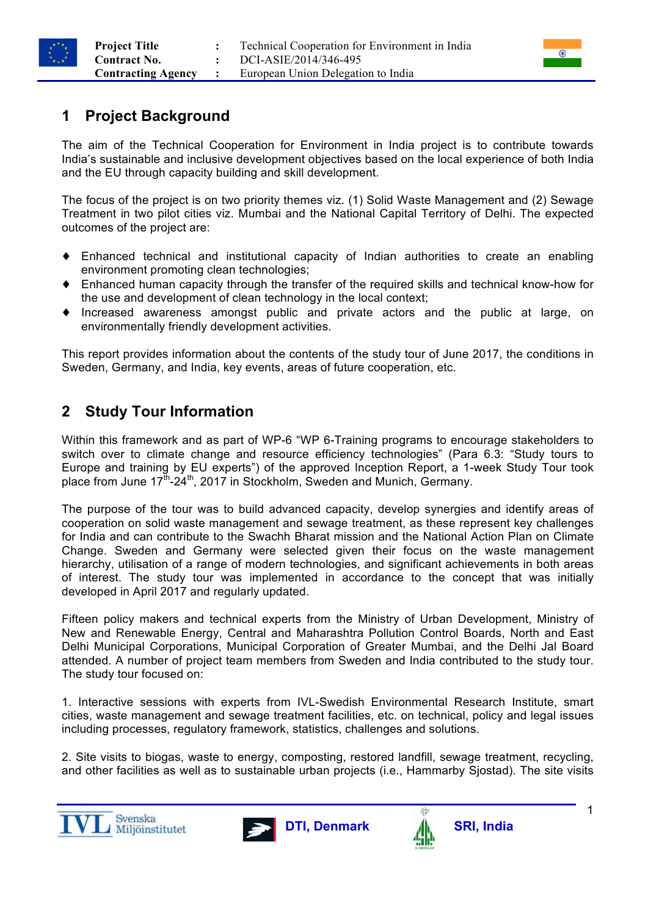# **1 Project Background**

The aim of the Technical Cooperation for Environment in India project is to contribute towards India's sustainable and inclusive development objectives based on the local experience of both India and the EU through capacity building and skill development.

The focus of the project is on two priority themes viz. (1) Solid Waste Management and (2) Sewage Treatment in two pilot cities viz. Mumbai and the National Capital Territory of Delhi. The expected outcomes of the project are:

- ♦ Enhanced technical and institutional capacity of Indian authorities to create an enabling environment promoting clean technologies;
- ♦ Enhanced human capacity through the transfer of the required skills and technical know-how for the use and development of clean technology in the local context;
- ♦ Increased awareness amongst public and private actors and the public at large, on environmentally friendly development activities.

This report provides information about the contents of the study tour of June 2017, the conditions in Sweden, Germany, and India, key events, areas of future cooperation, etc.

# **2 Study Tour Information**

Within this framework and as part of WP-6 "WP 6-Training programs to encourage stakeholders to switch over to climate change and resource efficiency technologies" (Para 6.3: "Study tours to Europe and training by EU experts") of the approved Inception Report, a 1-week Study Tour took place from June  $17^{\overline{th}}$ -24<sup>th</sup>, 2017 in Stockholm, Sweden and Munich, Germany.

The purpose of the tour was to build advanced capacity, develop synergies and identify areas of cooperation on solid waste management and sewage treatment, as these represent key challenges for India and can contribute to the Swachh Bharat mission and the National Action Plan on Climate Change. Sweden and Germany were selected given their focus on the waste management hierarchy, utilisation of a range of modern technologies, and significant achievements in both areas of interest. The study tour was implemented in accordance to the concept that was initially developed in April 2017 and regularly updated.

Fifteen policy makers and technical experts from the Ministry of Urban Development, Ministry of New and Renewable Energy, Central and Maharashtra Pollution Control Boards, North and East Delhi Municipal Corporations, Municipal Corporation of Greater Mumbai, and the Delhi Jal Board attended. A number of project team members from Sweden and India contributed to the study tour. The study tour focused on:

1. Interactive sessions with experts from IVL-Swedish Environmental Research Institute, smart cities, waste management and sewage treatment facilities, etc. on technical, policy and legal issues including processes, regulatory framework, statistics, challenges and solutions.

2. Site visits to biogas, waste to energy, composting, restored landfill, sewage treatment, recycling, and other facilities as well as to sustainable urban projects (i.e., Hammarby Sjostad). The site visits







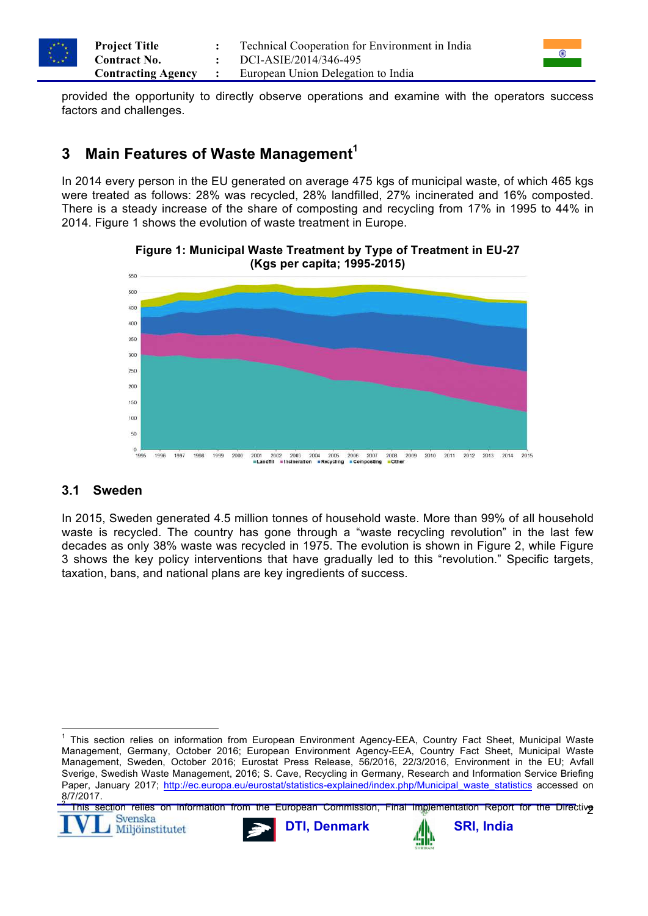

provided the opportunity to directly observe operations and examine with the operators success factors and challenges.

# **3 Main Features of Waste Management**<sup>1</sup>

In 2014 every person in the EU generated on average 475 kgs of municipal waste, of which 465 kgs were treated as follows: 28% was recycled, 28% landfilled, 27% incinerated and 16% composted. There is a steady increase of the share of composting and recycling from 17% in 1995 to 44% in 2014. Figure 1 shows the evolution of waste treatment in Europe.



#### **Figure 1: Municipal Waste Treatment by Type of Treatment in EU-27 (Kgs per capita; 1995-2015)**

### **3.1 Sweden**

In 2015, Sweden generated 4.5 million tonnes of household waste. More than 99% of all household waste is recycled. The country has gone through a "waste recycling revolution" in the last few decades as only 38% waste was recycled in 1975. The evolution is shown in Figure 2, while Figure 3 shows the key policy interventions that have gradually led to this "revolution." Specific targets, taxation, bans, and national plans are key ingredients of success.

<sup>2</sup> This section relies on information from the European Commission, Final Implementation Report for the Directive Svenska **SRI, India DTI, Denmark** Miljöinstitutet

<sup>1</sup> This section relies on information from European Environment Agency-EEA, Country Fact Sheet, Municipal Waste Management, Germany, October 2016; European Environment Agency-EEA, Country Fact Sheet, Municipal Waste Management, Sweden, October 2016; Eurostat Press Release, 56/2016, 22/3/2016, Environment in the EU; Avfall Sverige, Swedish Waste Management, 2016; S. Cave, Recycling in Germany, Research and Information Service Briefing Paper, January 2017; http://ec.europa.eu/eurostat/statistics-explained/index.php/Municipal\_waste\_statistics accessed on 8/7/2017.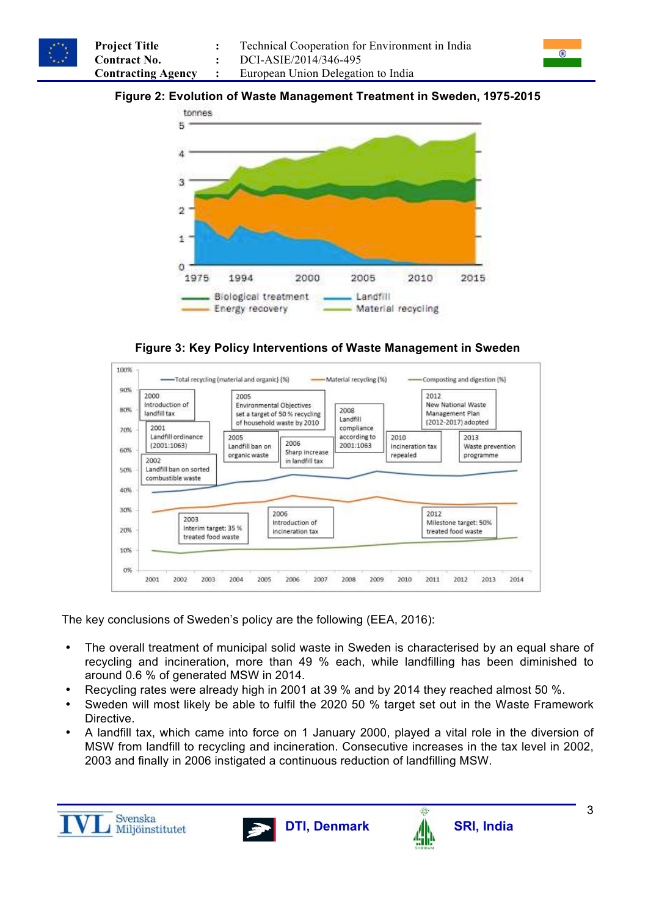



#### **Figure 2: Evolution of Waste Management Treatment in Sweden, 1975-2015**







The key conclusions of Sweden's policy are the following (EEA, 2016):

- The overall treatment of municipal solid waste in Sweden is characterised by an equal share of recycling and incineration, more than 49 % each, while landfilling has been diminished to around 0.6 % of generated MSW in 2014.
- Recycling rates were already high in 2001 at 39 % and by 2014 they reached almost 50 %.
- Sweden will most likely be able to fulfil the 2020 50 % target set out in the Waste Framework Directive.
- A landfill tax, which came into force on 1 January 2000, played a vital role in the diversion of MSW from landfill to recycling and incineration. Consecutive increases in the tax level in 2002, 2003 and finally in 2006 instigated a continuous reduction of landfilling MSW.







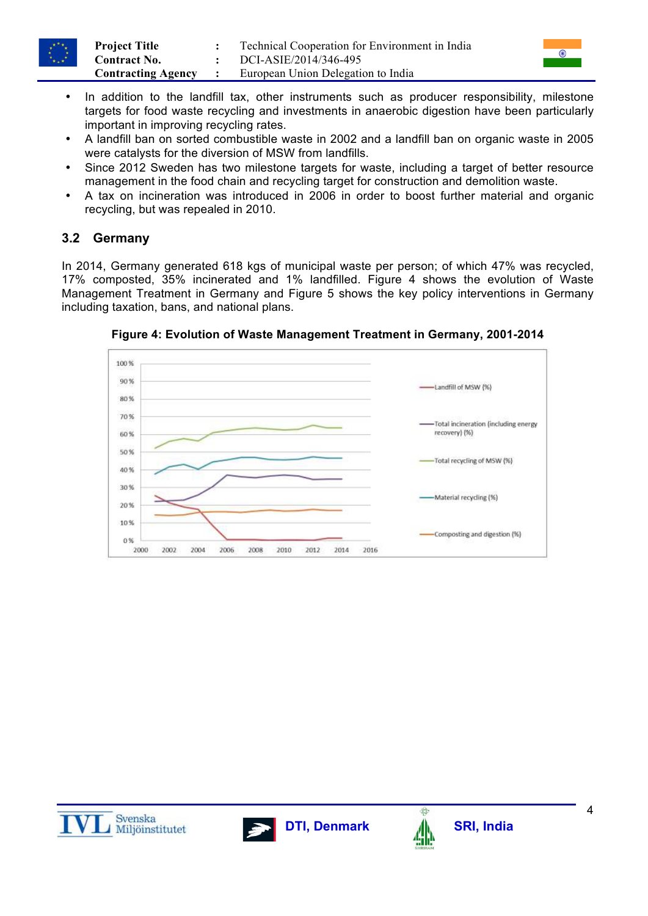

- In addition to the landfill tax, other instruments such as producer responsibility, milestone targets for food waste recycling and investments in anaerobic digestion have been particularly important in improving recycling rates.
- A landfill ban on sorted combustible waste in 2002 and a landfill ban on organic waste in 2005 were catalysts for the diversion of MSW from landfills.
- Since 2012 Sweden has two milestone targets for waste, including a target of better resource management in the food chain and recycling target for construction and demolition waste.
- A tax on incineration was introduced in 2006 in order to boost further material and organic recycling, but was repealed in 2010.

### **3.2 Germany**

In 2014, Germany generated 618 kgs of municipal waste per person; of which 47% was recycled, 17% composted, 35% incinerated and 1% landfilled. Figure 4 shows the evolution of Waste Management Treatment in Germany and Figure 5 shows the key policy interventions in Germany including taxation, bans, and national plans.



**Figure 4: Evolution of Waste Management Treatment in Germany, 2001-2014**





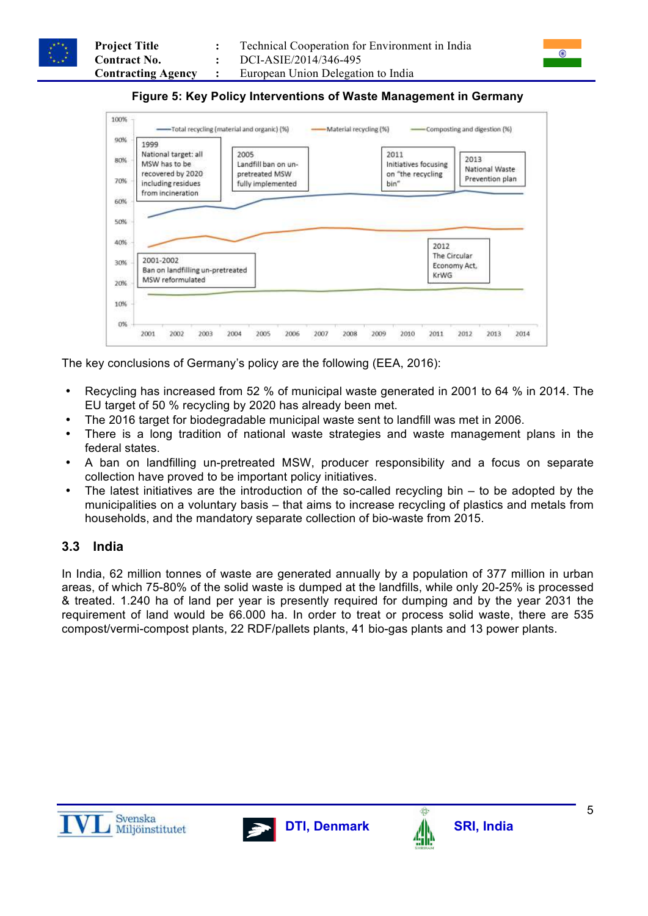





The key conclusions of Germany's policy are the following (EEA, 2016):

- Recycling has increased from 52 % of municipal waste generated in 2001 to 64 % in 2014. The EU target of 50 % recycling by 2020 has already been met.
- The 2016 target for biodegradable municipal waste sent to landfill was met in 2006.
- There is a long tradition of national waste strategies and waste management plans in the federal states.
- A ban on landfilling un-pretreated MSW, producer responsibility and a focus on separate collection have proved to be important policy initiatives.
- The latest initiatives are the introduction of the so-called recycling bin to be adopted by the municipalities on a voluntary basis – that aims to increase recycling of plastics and metals from households, and the mandatory separate collection of bio-waste from 2015.

#### **3.3 India**

In India, 62 million tonnes of waste are generated annually by a population of 377 million in urban areas, of which 75-80% of the solid waste is dumped at the landfills, while only 20-25% is processed & treated. 1.240 ha of land per year is presently required for dumping and by the year 2031 the requirement of land would be 66.000 ha. In order to treat or process solid waste, there are 535 compost/vermi-compost plants, 22 RDF/pallets plants, 41 bio-gas plants and 13 power plants.





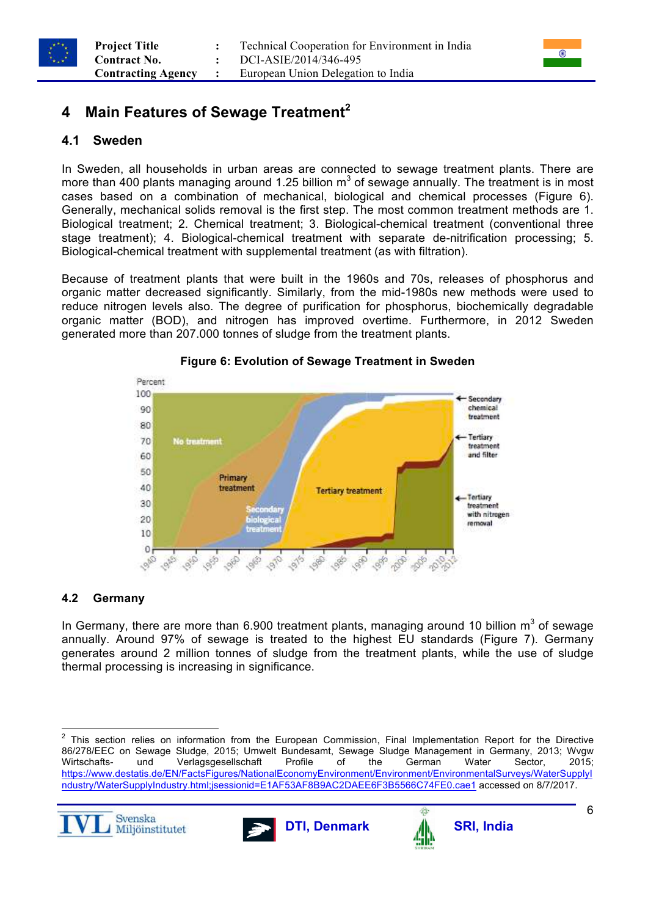



## **4 Main Features of Sewage Treatment2**

### **4.1 Sweden**

In Sweden, all households in urban areas are connected to sewage treatment plants. There are more than 400 plants managing around 1.25 billion  $m<sup>3</sup>$  of sewage annually. The treatment is in most cases based on a combination of mechanical, biological and chemical processes (Figure 6). Generally, mechanical solids removal is the first step. The most common treatment methods are 1. Biological treatment; 2. Chemical treatment; 3. Biological-chemical treatment (conventional three stage treatment); 4. Biological-chemical treatment with separate de-nitrification processing; 5. Biological-chemical treatment with supplemental treatment (as with filtration).

Because of treatment plants that were built in the 1960s and 70s, releases of phosphorus and organic matter decreased significantly. Similarly, from the mid-1980s new methods were used to reduce nitrogen levels also. The degree of purification for phosphorus, biochemically degradable organic matter (BOD), and nitrogen has improved overtime. Furthermore, in 2012 Sweden generated more than 207.000 tonnes of sludge from the treatment plants.



#### **Figure 6: Evolution of Sewage Treatment in Sweden**

#### **4.2 Germany**

In Germany, there are more than 6.900 treatment plants, managing around 10 billion  $m<sup>3</sup>$  of sewage annually. Around 97% of sewage is treated to the highest EU standards (Figure 7). Germany generates around 2 million tonnes of sludge from the treatment plants, while the use of sludge thermal processing is increasing in significance.

<sup>2</sup> This section relies on information from the European Commission, Final Implementation Report for the Directive 86/278/EEC on Sewage Sludge, 2015; Umwelt Bundesamt, Sewage Sludge Management in Germany, 2013; Wvgw Wirtschafts- und Verlagsgesellschaft Profile of the German Water Sector, 2015; https://www.destatis.de/EN/FactsFigures/NationalEconomyEnvironment/Environment/EnvironmentalSurveys/WaterSupplyI ndustry/WaterSupplyIndustry.html;jsessionid=E1AF53AF8B9AC2DAEE6F3B5566C74FE0.cae1 accessed on 8/7/2017.





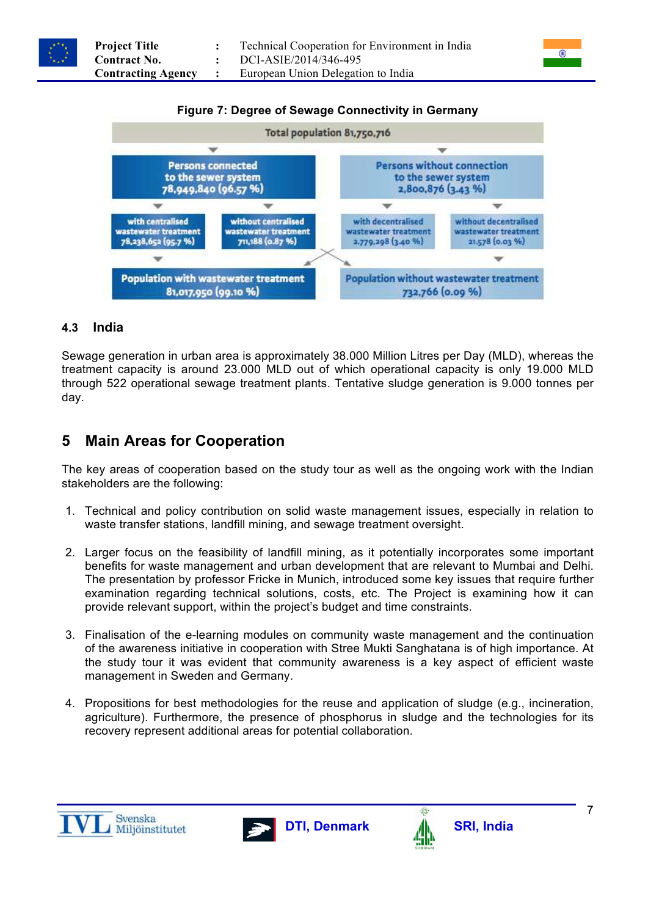



#### **Figure 7: Degree of Sewage Connectivity in Germany**



#### **4.3 India**

Sewage generation in urban area is approximately 38.000 Million Litres per Day (MLD), whereas the treatment capacity is around 23.000 MLD out of which operational capacity is only 19.000 MLD through 522 operational sewage treatment plants. Tentative sludge generation is 9.000 tonnes per day.

### **5 Main Areas for Cooperation**

The key areas of cooperation based on the study tour as well as the ongoing work with the Indian stakeholders are the following:

- 1. Technical and policy contribution on solid waste management issues, especially in relation to waste transfer stations, landfill mining, and sewage treatment oversight.
- 2. Larger focus on the feasibility of landfill mining, as it potentially incorporates some important benefits for waste management and urban development that are relevant to Mumbai and Delhi. The presentation by professor Fricke in Munich, introduced some key issues that require further examination regarding technical solutions, costs, etc. The Project is examining how it can provide relevant support, within the project's budget and time constraints.
- 3. Finalisation of the e-learning modules on community waste management and the continuation of the awareness initiative in cooperation with Stree Mukti Sanghatana is of high importance. At the study tour it was evident that community awareness is a key aspect of efficient waste management in Sweden and Germany.
- 4. Propositions for best methodologies for the reuse and application of sludge (e.g., incineration, agriculture). Furthermore, the presence of phosphorus in sludge and the technologies for its recovery represent additional areas for potential collaboration.





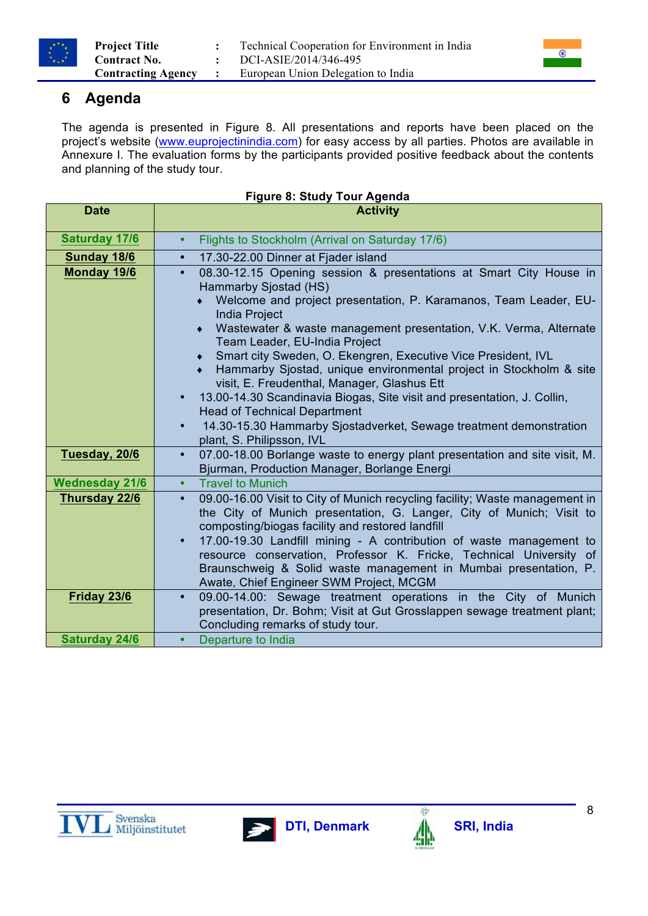

### **6 Agenda**

The agenda is presented in Figure 8. All presentations and reports have been placed on the project's website (www.euprojectinindia.com) for easy access by all parties. Photos are available in Annexure I. The evaluation forms by the participants provided positive feedback about the contents and planning of the study tour.

|                       | Figure 8: Study Tour Agenda                                                                                                                                                                                                                                                                                                                                                                                                                                                                                                                                                                                                                                                                                        |
|-----------------------|--------------------------------------------------------------------------------------------------------------------------------------------------------------------------------------------------------------------------------------------------------------------------------------------------------------------------------------------------------------------------------------------------------------------------------------------------------------------------------------------------------------------------------------------------------------------------------------------------------------------------------------------------------------------------------------------------------------------|
| <b>Date</b>           | <b>Activity</b>                                                                                                                                                                                                                                                                                                                                                                                                                                                                                                                                                                                                                                                                                                    |
| <b>Saturday 17/6</b>  | Flights to Stockholm (Arrival on Saturday 17/6)<br>$\bullet$                                                                                                                                                                                                                                                                                                                                                                                                                                                                                                                                                                                                                                                       |
| Sunday 18/6           | 17.30-22.00 Dinner at Fjader island<br>$\bullet$                                                                                                                                                                                                                                                                                                                                                                                                                                                                                                                                                                                                                                                                   |
| Monday 19/6           | 08.30-12.15 Opening session & presentations at Smart City House in<br>$\bullet$<br>Hammarby Sjostad (HS)<br>Welcome and project presentation, P. Karamanos, Team Leader, EU-<br><b>India Project</b><br>Wastewater & waste management presentation, V.K. Verma, Alternate<br>Team Leader, EU-India Project<br>Smart city Sweden, O. Ekengren, Executive Vice President, IVL<br>Hammarby Sjostad, unique environmental project in Stockholm & site<br>visit, E. Freudenthal, Manager, Glashus Ett<br>13.00-14.30 Scandinavia Biogas, Site visit and presentation, J. Collin,<br>$\bullet$<br><b>Head of Technical Department</b><br>14.30-15.30 Hammarby Sjostadverket, Sewage treatment demonstration<br>$\bullet$ |
| Tuesday, 20/6         | plant, S. Philipsson, IVL<br>07.00-18.00 Borlange waste to energy plant presentation and site visit, M.<br>$\bullet$<br>Bjurman, Production Manager, Borlange Energi                                                                                                                                                                                                                                                                                                                                                                                                                                                                                                                                               |
| <b>Wednesday 21/6</b> | <b>Travel to Munich</b><br>$\bullet$                                                                                                                                                                                                                                                                                                                                                                                                                                                                                                                                                                                                                                                                               |
| Thursday 22/6         | 09.00-16.00 Visit to City of Munich recycling facility; Waste management in<br>$\bullet$<br>the City of Munich presentation, G. Langer, City of Munich; Visit to<br>composting/biogas facility and restored landfill<br>17.00-19.30 Landfill mining - A contribution of waste management to<br>$\bullet$<br>resource conservation, Professor K. Fricke, Technical University of                                                                                                                                                                                                                                                                                                                                    |
|                       | Braunschweig & Solid waste management in Mumbai presentation, P.<br>Awate, Chief Engineer SWM Project, MCGM                                                                                                                                                                                                                                                                                                                                                                                                                                                                                                                                                                                                        |
| Friday 23/6           | 09.00-14.00: Sewage treatment operations in the City of Munich<br>$\bullet$<br>presentation, Dr. Bohm; Visit at Gut Grosslappen sewage treatment plant;<br>Concluding remarks of study tour.                                                                                                                                                                                                                                                                                                                                                                                                                                                                                                                       |
| <b>Saturday 24/6</b>  | Departure to India<br>$\bullet$                                                                                                                                                                                                                                                                                                                                                                                                                                                                                                                                                                                                                                                                                    |





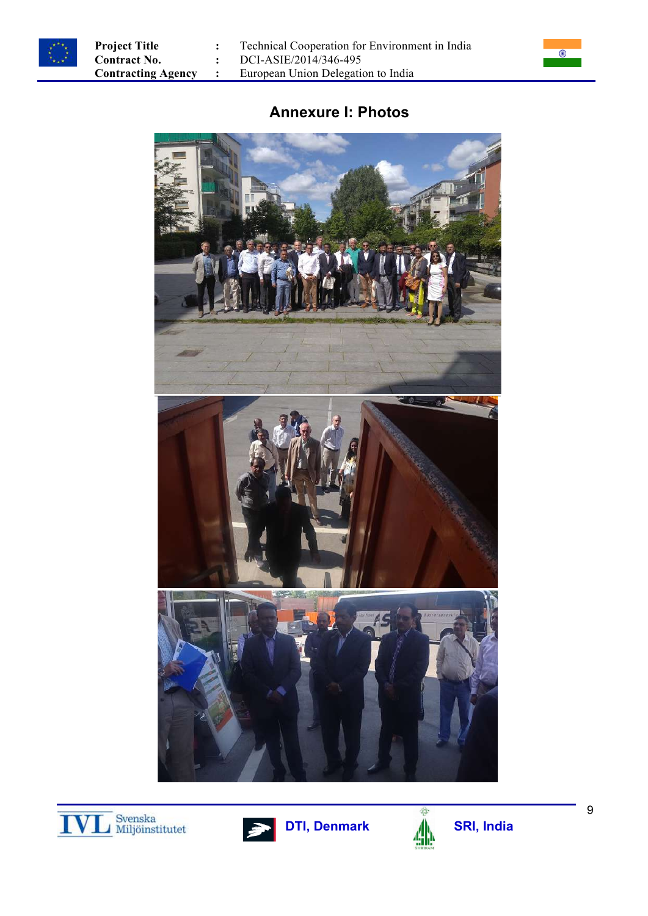



## **Annexure I: Photos**







**DTI, Denmark**



9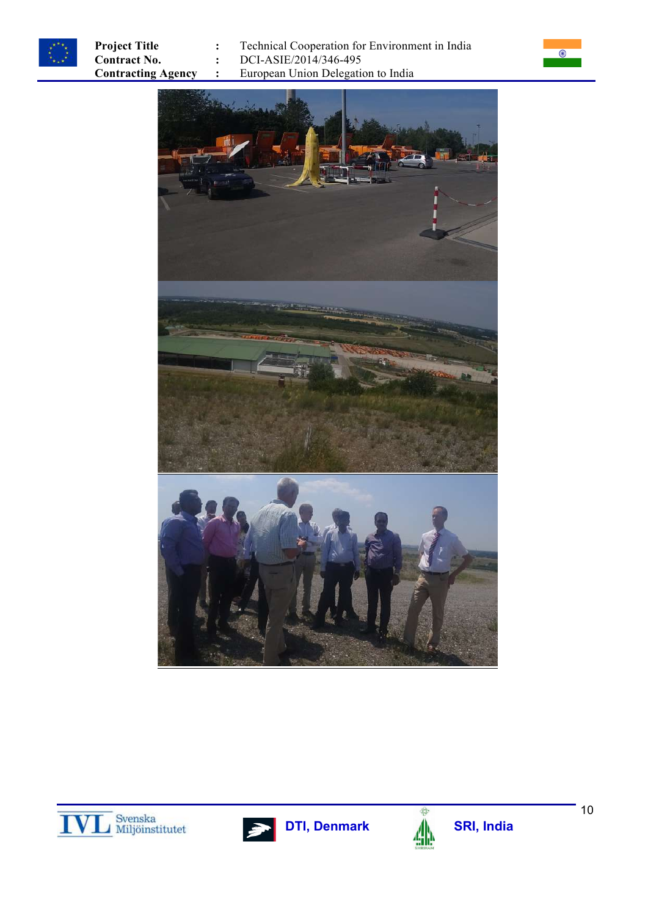







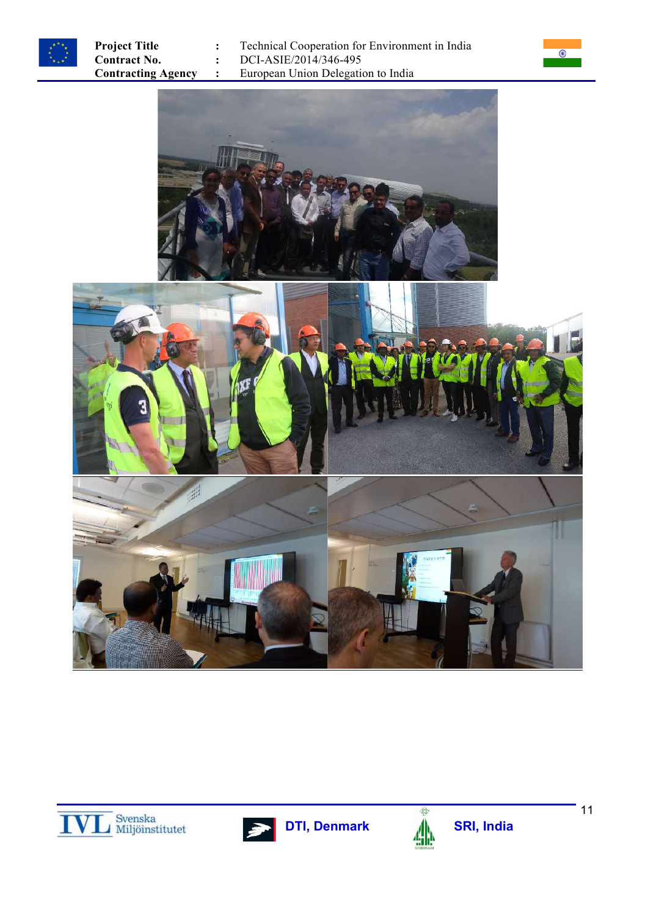











11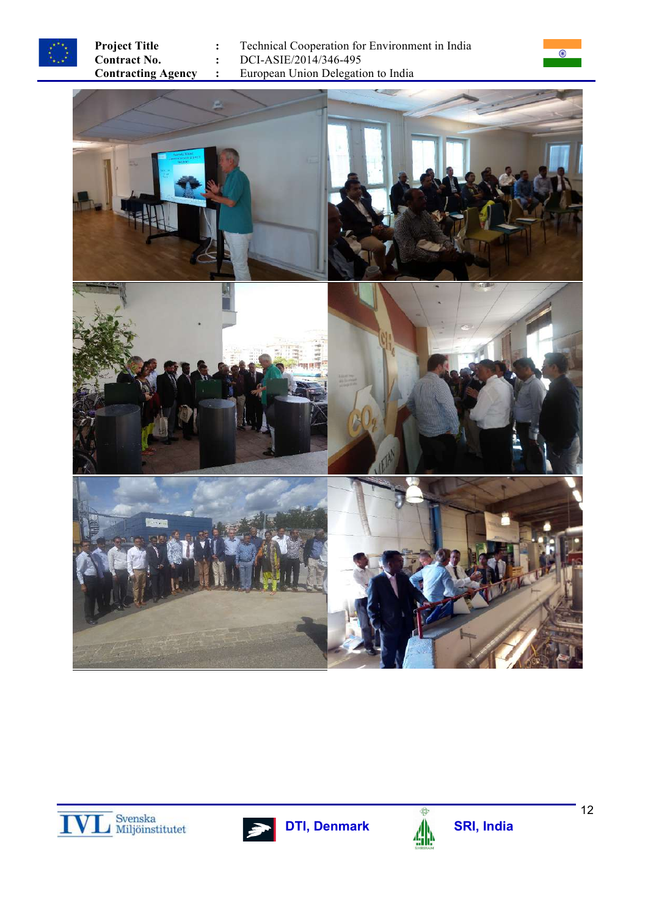